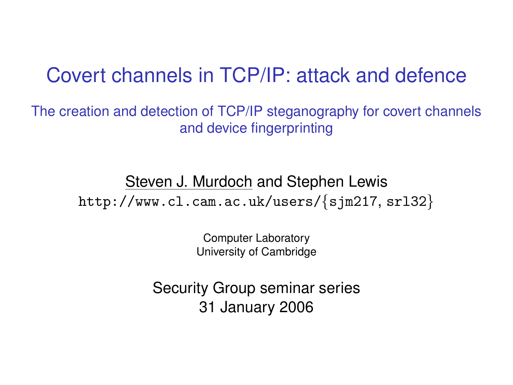#### Covert channels in TCP/IP: attack and defence

The creation and detection of TCP/IP steganography for covert channels and device fingerprinting

> Steven J. Murdoch and Stephen Lewis http://www.cl.cam.ac.uk/users/{[sjm217](http://www.cl.cam.ac.uk/users/sjm217/), [srl32](http://www.cl.cam.ac.uk/users/srl32/)}

> > Computer Laboratory University of Cambridge

Security Group seminar series 31 January 2006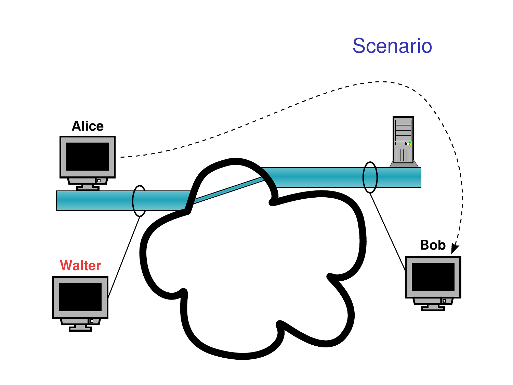

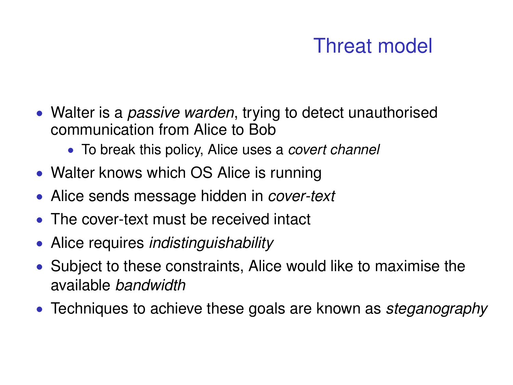# Threat model

- Walter is a *passive warden*, trying to detect unauthorised communication from Alice to Bob
	- To break this policy, Alice uses a *covert channel*
- Walter knows which OS Alice is running
- Alice sends message hidden in *cover-text*
- The cover-text must be received intact
- Alice requires *indistinguishability*
- Subject to these constraints, Alice would like to maximise the available *bandwidth*
- Techniques to achieve these goals are known as *steganography*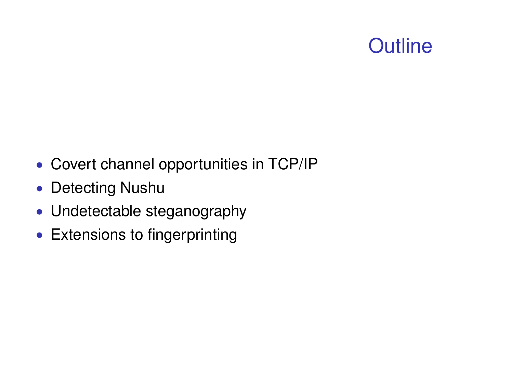# **Outline**

- Covert channel opportunities in TCP/IP
- Detecting Nushu
- Undetectable steganography
- Extensions to fingerprinting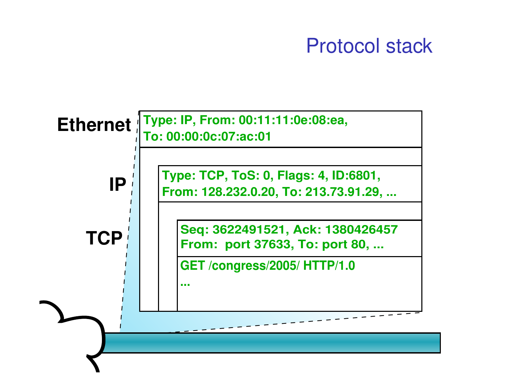#### Protocol stack

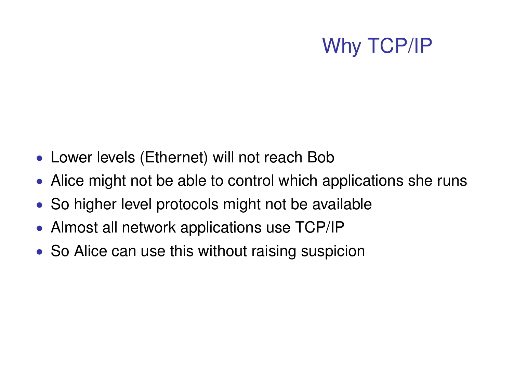### Why TCP/IP

- Lower levels (Ethernet) will not reach Bob
- Alice might not be able to control which applications she runs
- So higher level protocols might not be available
- Almost all network applications use TCP/IP
- So Alice can use this without raising suspicion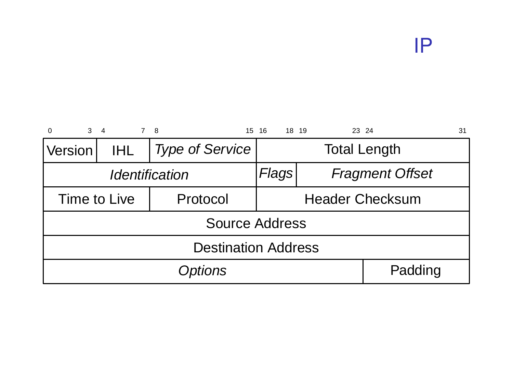IP

| 3 <sub>4</sub><br>$\Omega$ | 7 8  |                        | 15 16               | 18 19<br>23 24         | 31      |  |
|----------------------------|------|------------------------|---------------------|------------------------|---------|--|
| <b>Version</b>             | IHL. | <b>Type of Service</b> | <b>Total Length</b> |                        |         |  |
| Identification             |      |                        | Flags               | <b>Fragment Offset</b> |         |  |
| Time to Live<br>Protocol   |      |                        | Header Checksum     |                        |         |  |
| Source Address             |      |                        |                     |                        |         |  |
| <b>Destination Address</b> |      |                        |                     |                        |         |  |
| Options                    |      |                        |                     |                        | Padding |  |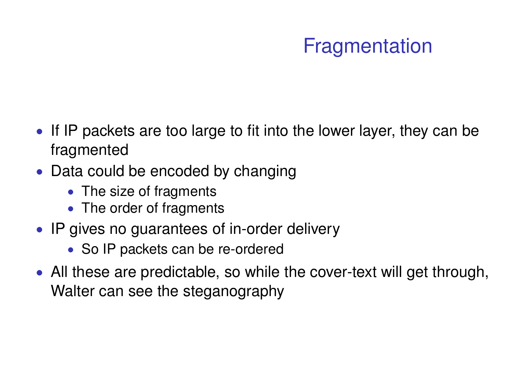## Fragmentation

- If IP packets are too large to fit into the lower layer, they can be fragmented
- Data could be encoded by changing
	- The size of fragments
	- The order of fragments
- IP gives no guarantees of in-order delivery
	- So IP packets can be re-ordered
- All these are predictable, so while the cover-text will get through, Walter can see the steganography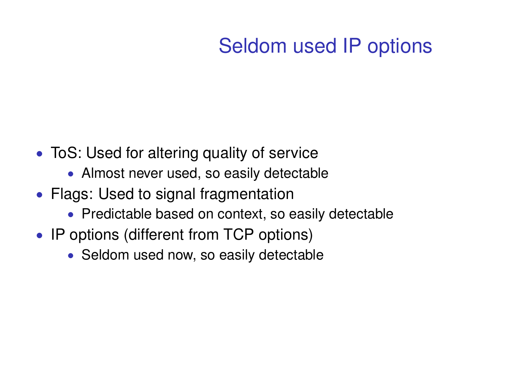# Seldom used IP options

- ToS: Used for altering quality of service
	- Almost never used, so easily detectable
- Flags: Used to signal fragmentation
	- Predictable based on context, so easily detectable
- IP options (different from TCP options)
	- Seldom used now, so easily detectable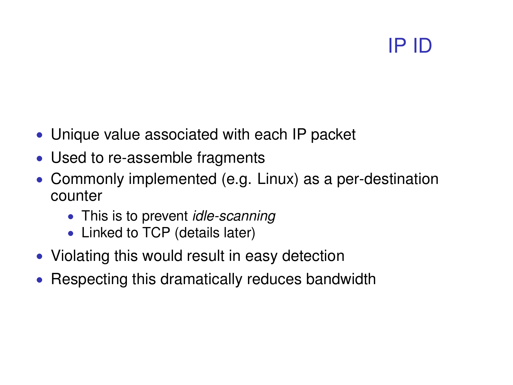# IP ID

- Unique value associated with each IP packet
- Used to re-assemble fragments
- Commonly implemented (e.g. Linux) as a per-destination counter
	- This is to prevent *idle-scanning*
	- Linked to TCP (details later)
- Violating this would result in easy detection
- Respecting this dramatically reduces bandwidth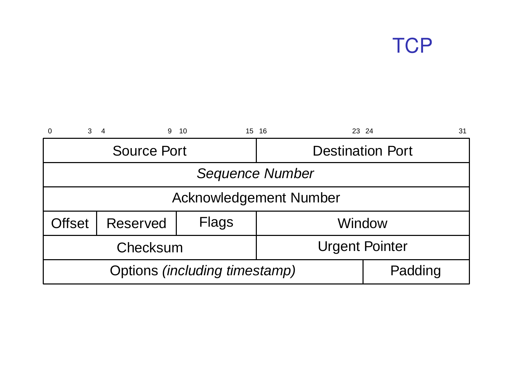## **TCP**

| $\mathbf{3}$<br>$\Omega$      | 9<br>$\overline{\mathbf{4}}$ | 10    | 23 24<br>15 16          | 31      |  |  |
|-------------------------------|------------------------------|-------|-------------------------|---------|--|--|
|                               | Source Port                  |       | <b>Destination Port</b> |         |  |  |
| Sequence Number               |                              |       |                         |         |  |  |
| Acknowledgement Number        |                              |       |                         |         |  |  |
| Offset                        | Reserved                     | Flags | Window                  |         |  |  |
|                               | Checksum                     |       | <b>Urgent Pointer</b>   |         |  |  |
| Options (including timestamp) |                              |       |                         | Padding |  |  |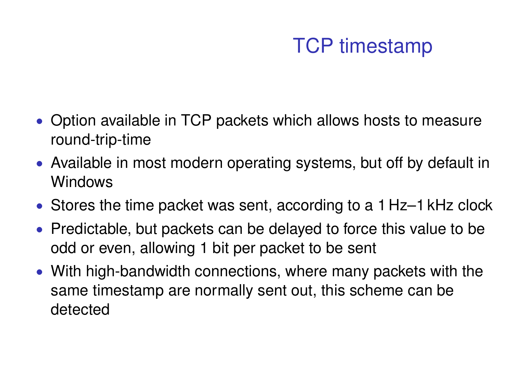### TCP timestamp

- Option available in TCP packets which allows hosts to measure round-trip-time
- Available in most modern operating systems, but off by default in Windows
- Stores the time packet was sent, according to a 1 Hz–1 kHz clock
- Predictable, but packets can be delayed to force this value to be odd or even, allowing 1 bit per packet to be sent
- With high-bandwidth connections, where many packets with the same timestamp are normally sent out, this scheme can be detected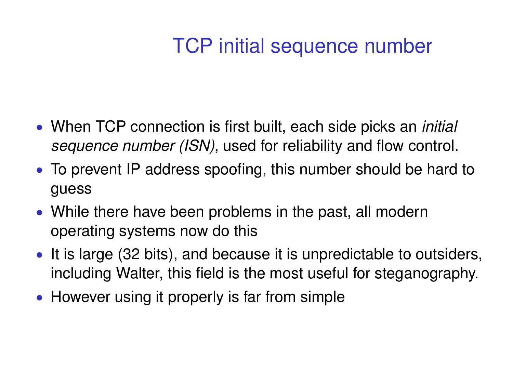### TCP initial sequence number

- When TCP connection is first built, each side picks an *initial sequence number (ISN)*, used for reliability and flow control.
- To prevent IP address spoofing, this number should be hard to guess
- While there have been problems in the past, all modern operating systems now do this
- It is large (32 bits), and because it is unpredictable to outsiders, including Walter, this field is the most useful for steganography.
- However using it properly is far from simple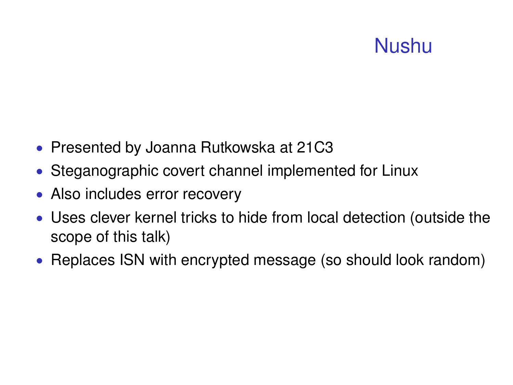## Nushu

- Presented by Joanna Rutkowska at 21C3
- Steganographic covert channel implemented for Linux
- Also includes error recovery
- Uses clever kernel tricks to hide from local detection (outside the scope of this talk)
- Replaces ISN with encrypted message (so should look random)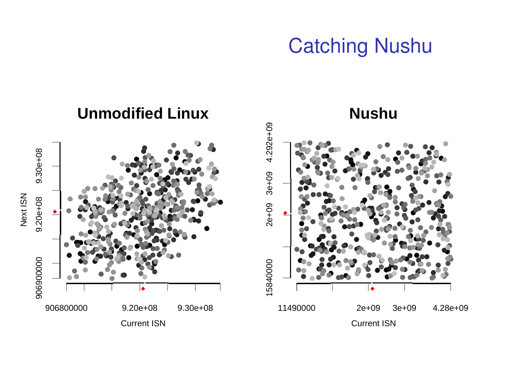#### **Catching Nushu**

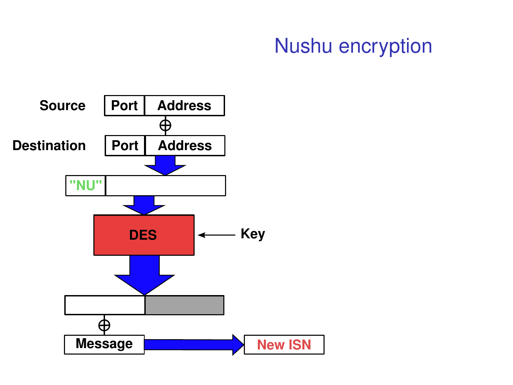#### Nushu encryption

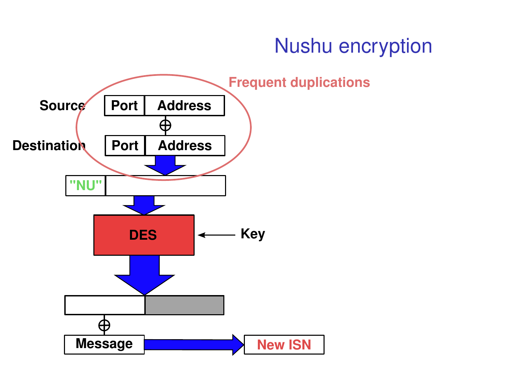#### **Nushu encryption**

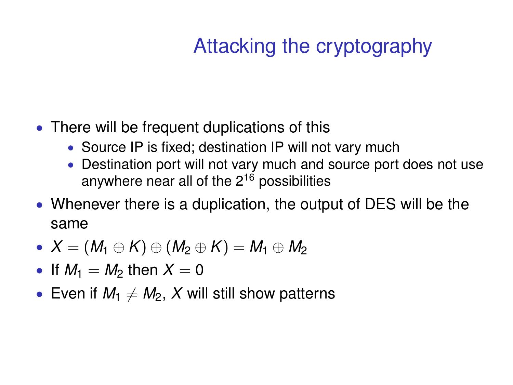# Attacking the cryptography

- There will be frequent duplications of this
	- Source IP is fixed; destination IP will not vary much
	- Destination port will not vary much and source port does not use anywhere near all of the  $2^{16}$  possibilities
- Whenever there is a duplication, the output of DES will be the same
- $\bullet$  *X* = (*M*<sub>1</sub> ⊕ *K*) ⊕ (*M*<sub>2</sub> ⊕ *K*) = *M*<sub>1</sub> ⊕ *M*<sub>2</sub>
- If  $M_1 = M_2$  then  $X = 0$
- Even if  $M_1 \neq M_2$ , X will still show patterns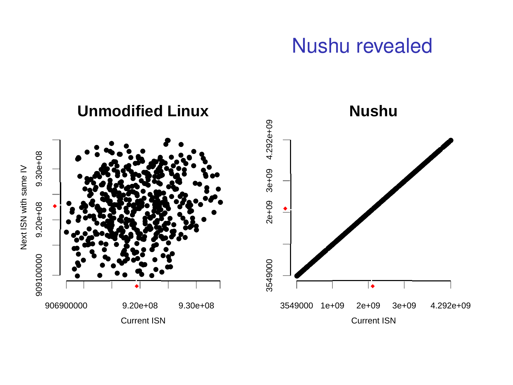#### Nushu revealed

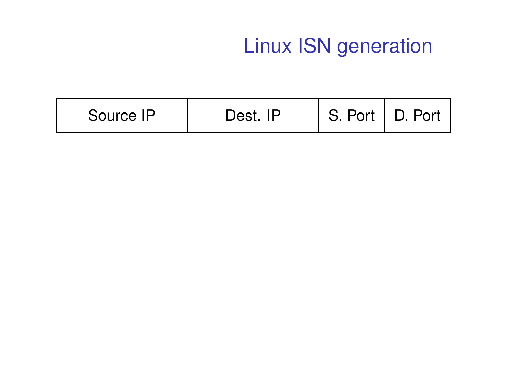| Source IP | םו | S. Port   ' | Port<br>$\mathbf{D}$ |
|-----------|----|-------------|----------------------|
|-----------|----|-------------|----------------------|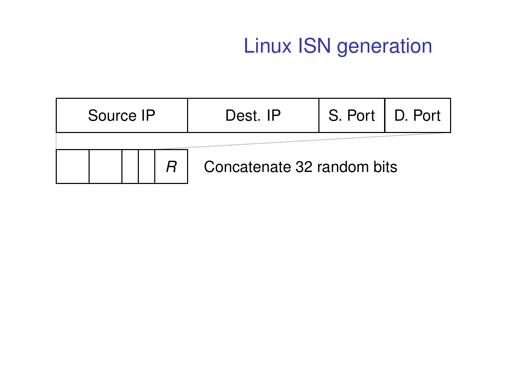|  | Source IP |  |  | Dest. IP                   | S. Port   D. Port |  |
|--|-----------|--|--|----------------------------|-------------------|--|
|  |           |  |  | Concatenate 32 random bits |                   |  |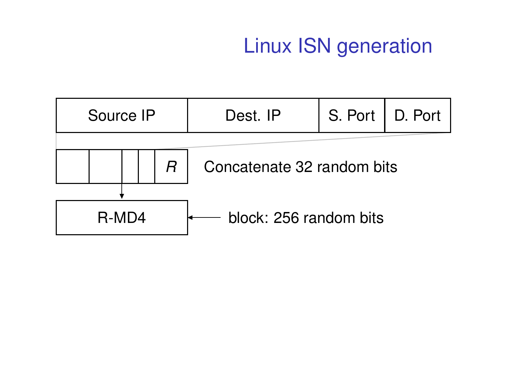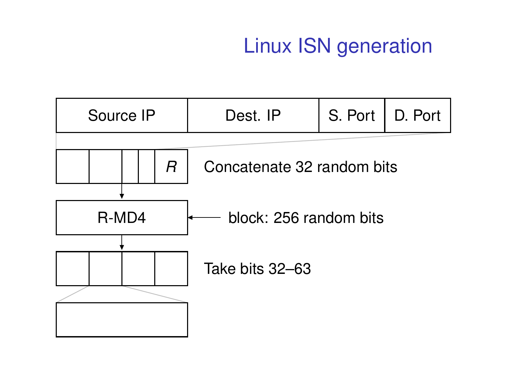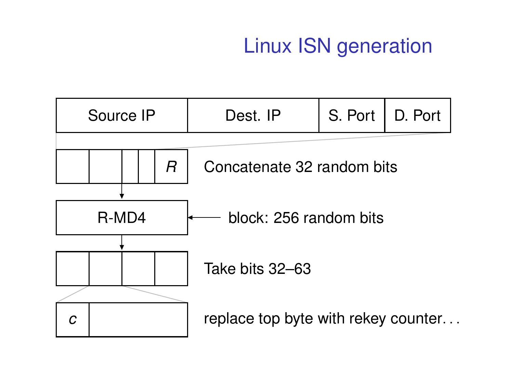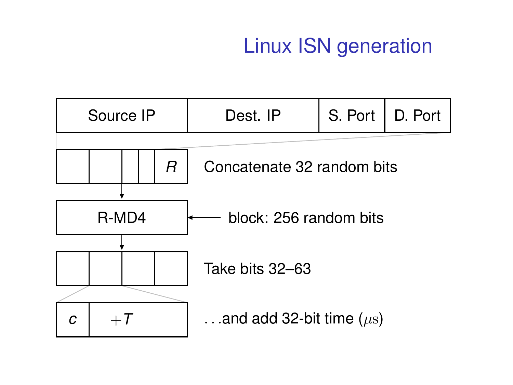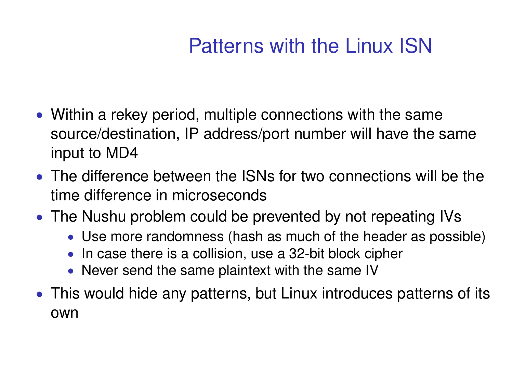## Patterns with the Linux ISN

- Within a rekey period, multiple connections with the same source/destination, IP address/port number will have the same input to MD4
- The difference between the ISNs for two connections will be the time difference in microseconds
- The Nushu problem could be prevented by not repeating IVs
	- Use more randomness (hash as much of the header as possible)
	- In case there is a collision, use a 32-bit block cipher
	- Never send the same plaintext with the same IV
- This would hide any patterns, but Linux introduces patterns of its own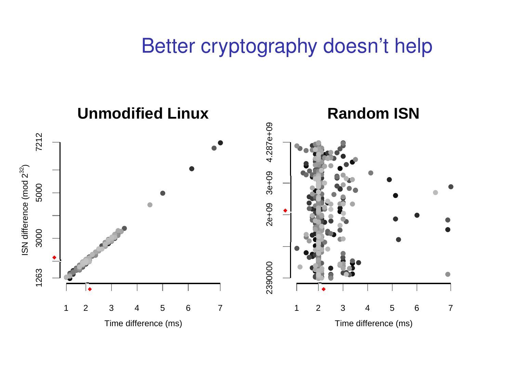#### Better cryptography doesn't help

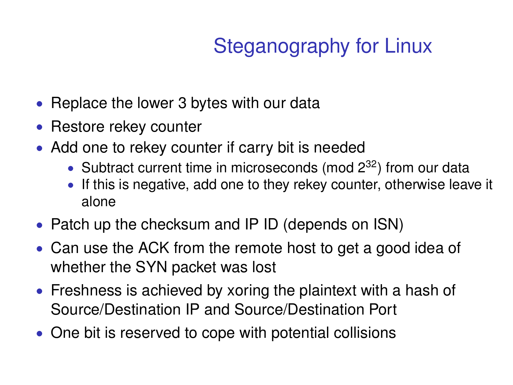# Steganography for Linux

- Replace the lower 3 bytes with our data
- Restore rekey counter
- Add one to rekey counter if carry bit is needed
	- Subtract current time in microseconds (mod  $2^{32}$ ) from our data
	- If this is negative, add one to they rekey counter, otherwise leave it alone
- Patch up the checksum and IP ID (depends on ISN)
- Can use the ACK from the remote host to get a good idea of whether the SYN packet was lost
- Freshness is achieved by xoring the plaintext with a hash of Source/Destination IP and Source/Destination Port
- One bit is reserved to cope with potential collisions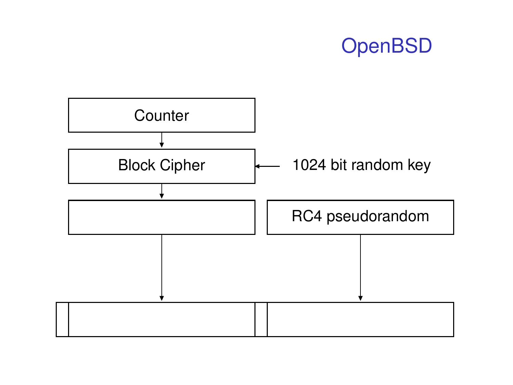#### **OpenBSD**

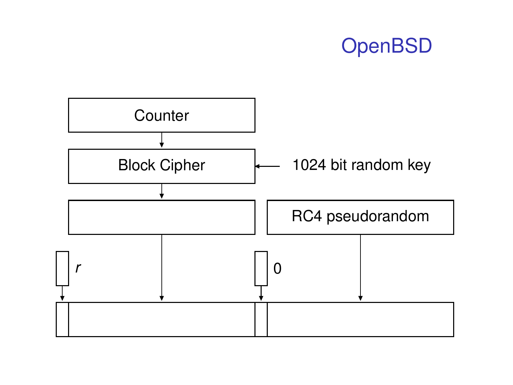#### **OpenBSD**

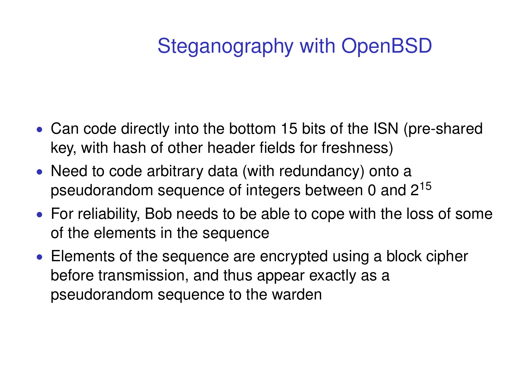## Steganography with OpenBSD

- Can code directly into the bottom 15 bits of the ISN (pre-shared key, with hash of other header fields for freshness)
- Need to code arbitrary data (with redundancy) onto a pseudorandom sequence of integers between 0 and  $2^{15}$
- For reliability, Bob needs to be able to cope with the loss of some of the elements in the sequence
- Elements of the sequence are encrypted using a block cipher before transmission, and thus appear exactly as a pseudorandom sequence to the warden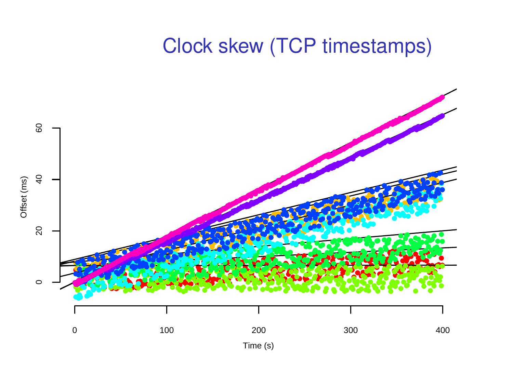#### **Clock skew (TCP timestamps)**

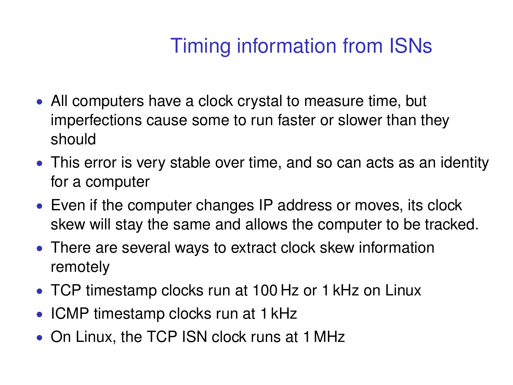# Timing information from ISNs

- All computers have a clock crystal to measure time, but imperfections cause some to run faster or slower than they should
- This error is very stable over time, and so can acts as an identity for a computer
- Even if the computer changes IP address or moves, its clock skew will stay the same and allows the computer to be tracked.
- There are several ways to extract clock skew information remotely
- TCP timestamp clocks run at 100 Hz or 1 kHz on Linux
- ICMP timestamp clocks run at 1 kHz
- On Linux, the TCP ISN clock runs at 1 MHz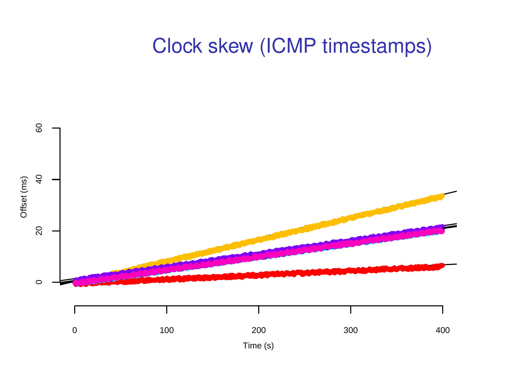#### Clock skew (ICMP timestamps)

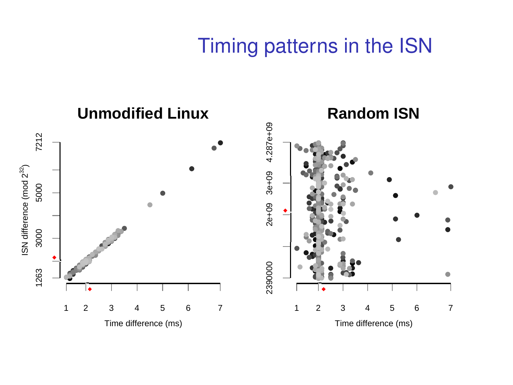#### Timing patterns in the ISN

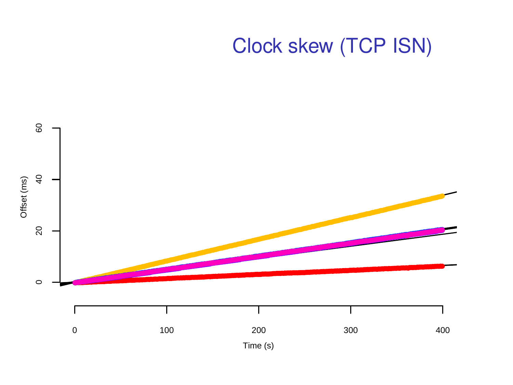### Clock skew (TCP ISN)